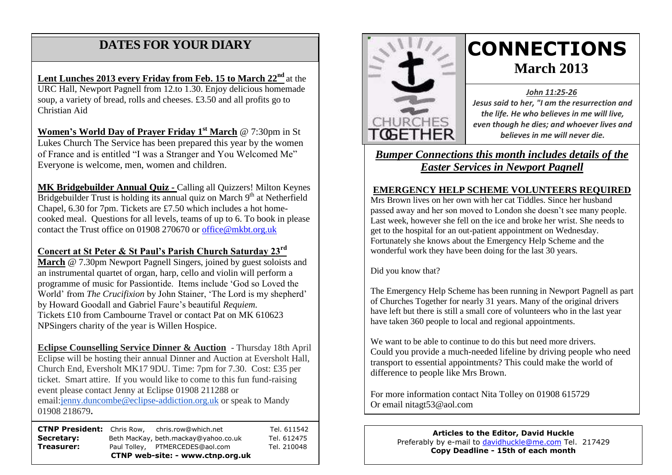## **DATES FOR YOUR DIARY**

soup, a variety of bread, rolls and cheeses.  $\pounds3.50$  and all profits go to Christian Aid **Lent Lunches 2013 every Friday from Feb. 15 to March 22nd** at the URC Hall, Newport Pagnell from 12.to 1.30. Enjoy delicious homemade

**Women's World Day of Prayer Friday 1st March** @ 7:30pm in St Lukes Church The Service has been prepared this year by the women of France and is entitled "I was a Stranger and You Welcomed Me" Everyone is welcome, men, women and children.

**MK Bridgebuilder Annual Quiz -** Calling all Quizzers! Milton Keynes Bridgebuilder Trust is holding its annual quiz on March  $9<sup>th</sup>$  at Netherfield Chapel, 6.30 for 7pm. Tickets are £7.50 which includes a hot homecooked meal. Questions for all levels, teams of up to 6. To book in please contact the Trust office on 01908 270670 or [office@mkbt.org.uk](mailto:office@mkbt.org.uk)

#### **Concert at St Peter & St Paul's Parish Church Saturday 23rd**

**March** @ 7.30pm Newport Pagnell Singers, joined by guest soloists and an instrumental quartet of organ, harp, cello and violin will perform a programme of music for Passiontide. Items include "God so Loved the World" from *The Crucifixion* by John Stainer, "The Lord is my shepherd" by Howard Goodall and Gabriel Faure"s beautiful *Requiem.* Tickets £10 from Cambourne Travel or contact Pat on MK 610623 NPSingers charity of the year is Willen Hospice.

**Eclipse Counselling Service Dinner & Auction** - Thursday 18th April Eclipse will be hosting their annual Dinner and Auction at Eversholt Hall, Church End, Eversholt MK17 9DU. Time: 7pm for 7.30. Cost: £35 per ticket. Smart attire. If you would like to come to this fun fund-raising event please contact Jenny at Eclipse 01908 211288 or email[:jenny.duncombe@eclipse-addiction.org.uk](mailto:jenny.duncombe@eclipse-addiction.org.uk) or speak to Mandy 01908 218679**.**

**CTNP President:** Chris Row, chris.row@which.net Tel. 611542 Secretary: Beth MacKay, beth.mackay@yahoo.co.uk Tel. 612475 **Treasurer:** Paul Tolley, PTMERCEDES@aol.com Tel. 210048 **CTNP web-site: - www.ctnp.org.uk**



# **CONNECTIONS March 2013**

#### *John 11:25-26*

*Jesus said to her, "I am the resurrection and the life. He who believes in me will live, even though he dies; and whoever lives and believes in me will never die.*

*Bumper Connections this month includes details of the Easter Services in Newport Pagnell*

#### **EMERGENCY HELP SCHEME VOLUNTEERS REQUIRED**

Mrs Brown lives on her own with her cat Tiddles. Since her husband passed away and her son moved to London she doesn"t see many people. Last week, however she fell on the ice and broke her wrist. She needs to get to the hospital for an out-patient appointment on Wednesday. Fortunately she knows about the Emergency Help Scheme and the wonderful work they have been doing for the last 30 years.

Did you know that?

The Emergency Help Scheme has been running in Newport Pagnell as part of Churches Together for nearly 31 years. Many of the original drivers have left but there is still a small core of volunteers who in the last year have taken 360 people to local and regional appointments.

We want to be able to continue to do this but need more drivers. Could you provide a much-needed lifeline by driving people who need transport to essential appointments? This could make the world of difference to people like Mrs Brown.

For more information contact Nita Tolley on 01908 615729 Or email nitagt53@aol.com

#### **Articles to the Editor, David Huckle** Preferably by e-mail to [davidhuckle@me.com](mailto:davidhuckle@me.com) Tel. 217429 **Copy Deadline - 15th of each month**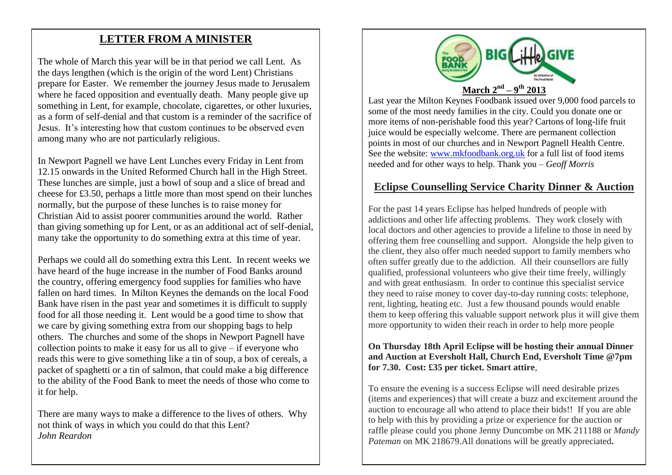### **LETTER FROM A MINISTER**

The whole of March this year will be in that period we call Lent. As the days lengthen (which is the origin of the word Lent) Christians prepare for Easter. We remember the journey Jesus made to Jerusalem where he faced opposition and eventually death. Many people give up something in Lent, for example, chocolate, cigarettes, or other luxuries, as a form of self-denial and that custom is a reminder of the sacrifice of Jesus. It"s interesting how that custom continues to be observed even among many who are not particularly religious.

In Newport Pagnell we have Lent Lunches every Friday in Lent from 12.15 onwards in the United Reformed Church hall in the High Street. These lunches are simple, just a bowl of soup and a slice of bread and cheese for £3.50, perhaps a little more than most spend on their lunches normally, but the purpose of these lunches is to raise money for Christian Aid to assist poorer communities around the world. Rather than giving something up for Lent, or as an additional act of self-denial, many take the opportunity to do something extra at this time of year.

Perhaps we could all do something extra this Lent. In recent weeks we have heard of the huge increase in the number of Food Banks around the country, offering emergency food supplies for families who have fallen on hard times. In Milton Keynes the demands on the local Food Bank have risen in the past year and sometimes it is difficult to supply food for all those needing it. Lent would be a good time to show that we care by giving something extra from our shopping bags to help others. The churches and some of the shops in Newport Pagnell have collection points to make it easy for us all to give – if everyone who reads this were to give something like a tin of soup, a box of cereals, a packet of spaghetti or a tin of salmon, that could make a big difference to the ability of the Food Bank to meet the needs of those who come to it for help.

There are many ways to make a difference to the lives of others. Why not think of ways in which you could do that this Lent? *John Reardon*



Last year the Milton Keynes Foodbank issued over 9,000 food parcels to some of the most needy families in the city. Could you donate one or more items of non-perishable food this year? Cartons of long-life fruit juice would be especially welcome. There are permanent collection points in most of our churches and in Newport Pagnell Health Centre. See the website: [www.mkfoodbank.org.uk](http://www.mkfoodbank.org.uk/) for a full list of food items needed and for other ways to help. Thank you – *Geoff Morris*

### **Eclipse Counselling Service Charity Dinner & Auction**

For the past 14 years Eclipse has helped hundreds of people with addictions and other life affecting problems. They work closely with local doctors and other agencies to provide a lifeline to those in need by offering them free counselling and support. Alongside the help given to the client, they also offer much needed support to family members who often suffer greatly due to the addiction. All their counsellors are fully qualified, professional volunteers who give their time freely, willingly and with great enthusiasm. In order to continue this specialist service they need to raise money to cover day-to-day running costs: telephone, rent, lighting, heating etc. Just a few thousand pounds would enable them to keep offering this valuable support network plus it will give them more opportunity to widen their reach in order to help more people

#### **On Thursday 18th April Eclipse will be hosting their annual Dinner and Auction at Eversholt Hall, Church End, Eversholt Time @7pm for 7.30. Cost: £35 per ticket. Smart attire**,

To ensure the evening is a success Eclipse will need desirable prizes (items and experiences) that will create a buzz and excitement around the auction to encourage all who attend to place their bids!! If you are able to help with this by providing a prize or experience for the auction or raffle please could you phone Jenny Duncombe on MK 211188 or *Mandy Pateman* on MK 218679.All donations will be greatly appreciated**.**